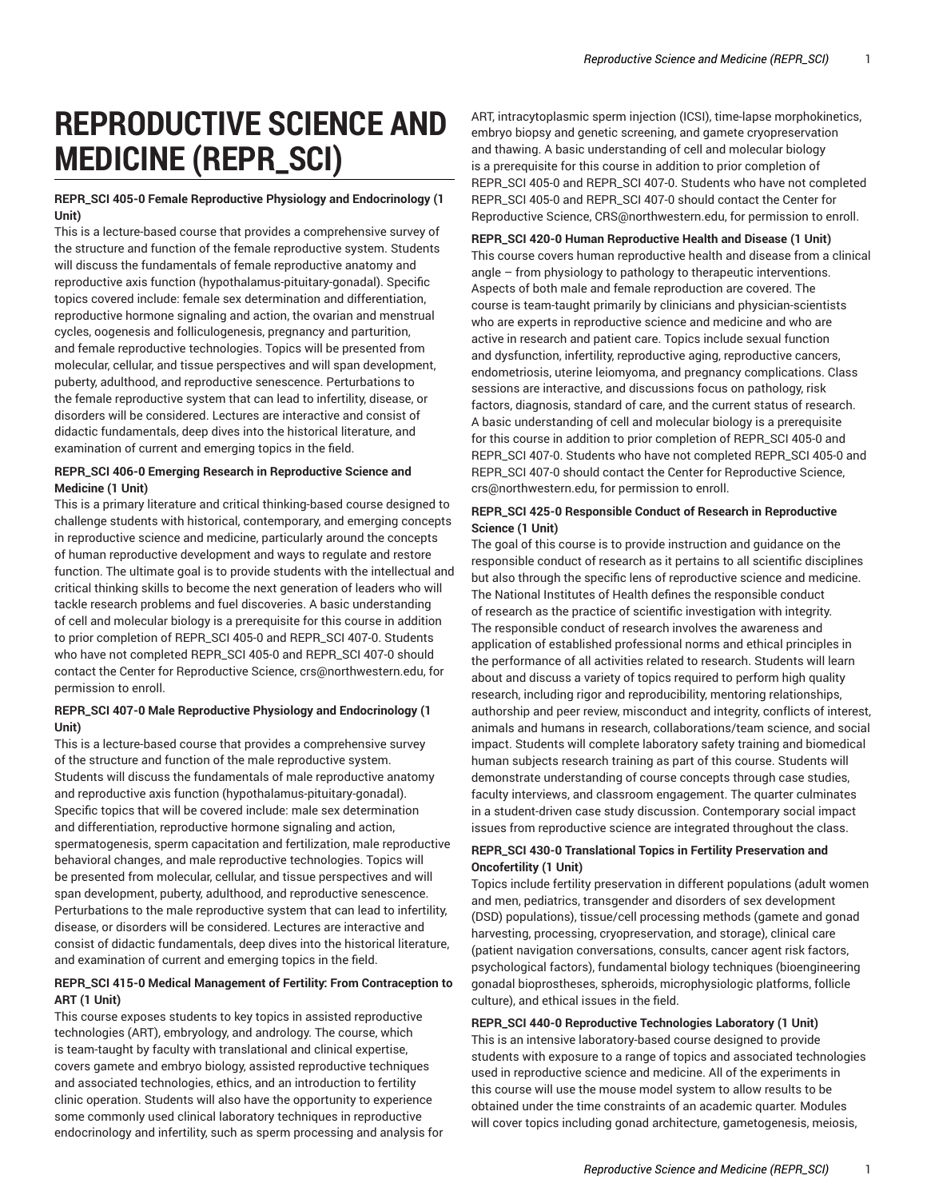# **REPRODUCTIVE SCIENCE AND MEDICINE (REPR\_SCI)**

## **REPR\_SCI 405-0 Female Reproductive Physiology and Endocrinology (1 Unit)**

This is a lecture-based course that provides a comprehensive survey of the structure and function of the female reproductive system. Students will discuss the fundamentals of female reproductive anatomy and reproductive axis function (hypothalamus-pituitary-gonadal). Specific topics covered include: female sex determination and differentiation, reproductive hormone signaling and action, the ovarian and menstrual cycles, oogenesis and folliculogenesis, pregnancy and parturition, and female reproductive technologies. Topics will be presented from molecular, cellular, and tissue perspectives and will span development, puberty, adulthood, and reproductive senescence. Perturbations to the female reproductive system that can lead to infertility, disease, or disorders will be considered. Lectures are interactive and consist of didactic fundamentals, deep dives into the historical literature, and examination of current and emerging topics in the field.

## **REPR\_SCI 406-0 Emerging Research in Reproductive Science and Medicine (1 Unit)**

This is a primary literature and critical thinking-based course designed to challenge students with historical, contemporary, and emerging concepts in reproductive science and medicine, particularly around the concepts of human reproductive development and ways to regulate and restore function. The ultimate goal is to provide students with the intellectual and critical thinking skills to become the next generation of leaders who will tackle research problems and fuel discoveries. A basic understanding of cell and molecular biology is a prerequisite for this course in addition to prior completion of REPR\_SCI 405-0 and REPR\_SCI 407-0. Students who have not completed REPR\_SCI 405-0 and REPR\_SCI 407-0 should contact the Center for Reproductive Science, crs@northwestern.edu, for permission to enroll.

## **REPR\_SCI 407-0 Male Reproductive Physiology and Endocrinology (1 Unit)**

This is a lecture-based course that provides a comprehensive survey of the structure and function of the male reproductive system. Students will discuss the fundamentals of male reproductive anatomy and reproductive axis function (hypothalamus-pituitary-gonadal). Specific topics that will be covered include: male sex determination and differentiation, reproductive hormone signaling and action, spermatogenesis, sperm capacitation and fertilization, male reproductive behavioral changes, and male reproductive technologies. Topics will be presented from molecular, cellular, and tissue perspectives and will span development, puberty, adulthood, and reproductive senescence. Perturbations to the male reproductive system that can lead to infertility, disease, or disorders will be considered. Lectures are interactive and consist of didactic fundamentals, deep dives into the historical literature, and examination of current and emerging topics in the field.

## **REPR\_SCI 415-0 Medical Management of Fertility: From Contraception to ART (1 Unit)**

This course exposes students to key topics in assisted reproductive technologies (ART), embryology, and andrology. The course, which is team-taught by faculty with translational and clinical expertise, covers gamete and embryo biology, assisted reproductive techniques and associated technologies, ethics, and an introduction to fertility clinic operation. Students will also have the opportunity to experience some commonly used clinical laboratory techniques in reproductive endocrinology and infertility, such as sperm processing and analysis for

ART, intracytoplasmic sperm injection (ICSI), time-lapse morphokinetics, embryo biopsy and genetic screening, and gamete cryopreservation and thawing. A basic understanding of cell and molecular biology is a prerequisite for this course in addition to prior completion of REPR\_SCI 405-0 and REPR\_SCI 407-0. Students who have not completed REPR\_SCI 405-0 and REPR\_SCI 407-0 should contact the Center for Reproductive Science, CRS@northwestern.edu, for permission to enroll.

## **REPR\_SCI 420-0 Human Reproductive Health and Disease (1 Unit)**

This course covers human reproductive health and disease from a clinical angle – from physiology to pathology to therapeutic interventions. Aspects of both male and female reproduction are covered. The course is team-taught primarily by clinicians and physician-scientists who are experts in reproductive science and medicine and who are active in research and patient care. Topics include sexual function and dysfunction, infertility, reproductive aging, reproductive cancers, endometriosis, uterine leiomyoma, and pregnancy complications. Class sessions are interactive, and discussions focus on pathology, risk factors, diagnosis, standard of care, and the current status of research. A basic understanding of cell and molecular biology is a prerequisite for this course in addition to prior completion of REPR\_SCI 405-0 and REPR\_SCI 407-0. Students who have not completed REPR\_SCI 405-0 and REPR\_SCI 407-0 should contact the Center for Reproductive Science, crs@northwestern.edu, for permission to enroll.

## **REPR\_SCI 425-0 Responsible Conduct of Research in Reproductive Science (1 Unit)**

The goal of this course is to provide instruction and guidance on the responsible conduct of research as it pertains to all scientific disciplines but also through the specific lens of reproductive science and medicine. The National Institutes of Health defines the responsible conduct of research as the practice of scientific investigation with integrity. The responsible conduct of research involves the awareness and application of established professional norms and ethical principles in the performance of all activities related to research. Students will learn about and discuss a variety of topics required to perform high quality research, including rigor and reproducibility, mentoring relationships, authorship and peer review, misconduct and integrity, conflicts of interest, animals and humans in research, collaborations/team science, and social impact. Students will complete laboratory safety training and biomedical human subjects research training as part of this course. Students will demonstrate understanding of course concepts through case studies, faculty interviews, and classroom engagement. The quarter culminates in a student-driven case study discussion. Contemporary social impact issues from reproductive science are integrated throughout the class.

## **REPR\_SCI 430-0 Translational Topics in Fertility Preservation and Oncofertility (1 Unit)**

Topics include fertility preservation in different populations (adult women and men, pediatrics, transgender and disorders of sex development (DSD) populations), tissue/cell processing methods (gamete and gonad harvesting, processing, cryopreservation, and storage), clinical care (patient navigation conversations, consults, cancer agent risk factors, psychological factors), fundamental biology techniques (bioengineering gonadal bioprostheses, spheroids, microphysiologic platforms, follicle culture), and ethical issues in the field.

# **REPR\_SCI 440-0 Reproductive Technologies Laboratory (1 Unit)** This is an intensive laboratory-based course designed to provide students with exposure to a range of topics and associated technologies used in reproductive science and medicine. All of the experiments in this course will use the mouse model system to allow results to be obtained under the time constraints of an academic quarter. Modules will cover topics including gonad architecture, gametogenesis, meiosis,